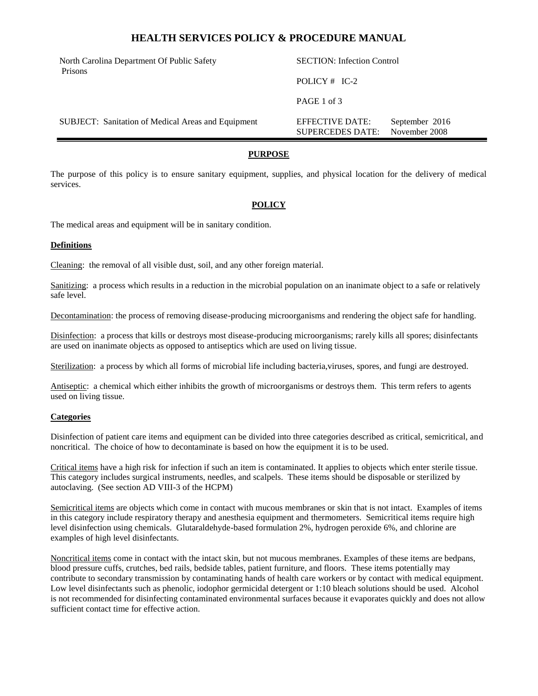## **HEALTH SERVICES POLICY & PROCEDURE MANUAL**

North Carolina Department Of Public Safety Prisons

POLICY # IC-2

SECTION: Infection Control

PAGE 1 of 3

SUBJECT: Sanitation of Medical Areas and Equipment EFFECTIVE DATE: September 2016 SUPERCEDES DATE: November 2008

#### **PURPOSE**

The purpose of this policy is to ensure sanitary equipment, supplies, and physical location for the delivery of medical services.

#### **POLICY**

The medical areas and equipment will be in sanitary condition.

#### **Definitions**

Cleaning: the removal of all visible dust, soil, and any other foreign material.

Sanitizing: a process which results in a reduction in the microbial population on an inanimate object to a safe or relatively safe level.

Decontamination: the process of removing disease-producing microorganisms and rendering the object safe for handling.

Disinfection: a process that kills or destroys most disease-producing microorganisms; rarely kills all spores; disinfectants are used on inanimate objects as opposed to antiseptics which are used on living tissue.

Sterilization: a process by which all forms of microbial life including bacteria,viruses, spores, and fungi are destroyed.

Antiseptic: a chemical which either inhibits the growth of microorganisms or destroys them. This term refers to agents used on living tissue.

#### **Categories**

Disinfection of patient care items and equipment can be divided into three categories described as critical, semicritical, and noncritical. The choice of how to decontaminate is based on how the equipment it is to be used.

Critical items have a high risk for infection if such an item is contaminated. It applies to objects which enter sterile tissue. This category includes surgical instruments, needles, and scalpels. These items should be disposable or sterilized by autoclaving. (See section AD VIII-3 of the HCPM)

Semicritical items are objects which come in contact with mucous membranes or skin that is not intact. Examples of items in this category include respiratory therapy and anesthesia equipment and thermometers. Semicritical items require high level disinfection using chemicals. Glutaraldehyde-based formulation 2%, hydrogen peroxide 6%, and chlorine are examples of high level disinfectants.

Noncritical items come in contact with the intact skin, but not mucous membranes. Examples of these items are bedpans, blood pressure cuffs, crutches, bed rails, bedside tables, patient furniture, and floors. These items potentially may contribute to secondary transmission by contaminating hands of health care workers or by contact with medical equipment. Low level disinfectants such as phenolic, iodophor germicidal detergent or 1:10 bleach solutions should be used. Alcohol is not recommended for disinfecting contaminated environmental surfaces because it evaporates quickly and does not allow sufficient contact time for effective action.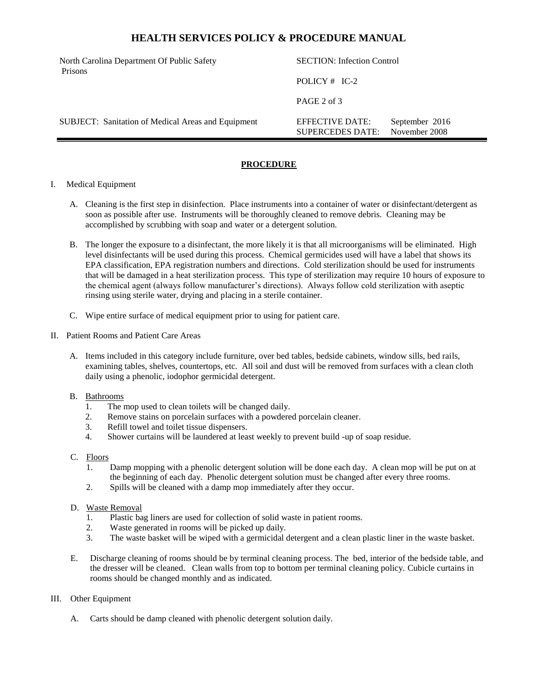# **HEALTH SERVICES POLICY & PROCEDURE MANUAL**

North Carolina Department Of Public Safety Prisons

POLICY # IC-2

SECTION: Infection Control

SUPERCEDES DATE: November 2008

PAGE 2 of 3

SUBJECT: Sanitation of Medical Areas and Equipment EFFECTIVE DATE: September 2016

## **PROCEDURE**

#### I. Medical Equipment

- A. Cleaning is the first step in disinfection. Place instruments into a container of water or disinfectant/detergent as soon as possible after use. Instruments will be thoroughly cleaned to remove debris. Cleaning may be accomplished by scrubbing with soap and water or a detergent solution.
- B. The longer the exposure to a disinfectant, the more likely it is that all microorganisms will be eliminated. High level disinfectants will be used during this process. Chemical germicides used will have a label that shows its EPA classification, EPA registration numbers and directions. Cold sterilization should be used for instruments that will be damaged in a heat sterilization process. This type of sterilization may require 10 hours of exposure to the chemical agent (always follow manufacturer's directions). Always follow cold sterilization with aseptic rinsing using sterile water, drying and placing in a sterile container.
- C. Wipe entire surface of medical equipment prior to using for patient care.
- II. Patient Rooms and Patient Care Areas
	- A. Items included in this category include furniture, over bed tables, bedside cabinets, window sills, bed rails, examining tables, shelves, countertops, etc. All soil and dust will be removed from surfaces with a clean cloth daily using a phenolic, iodophor germicidal detergent.

#### B. Bathrooms

- 1. The mop used to clean toilets will be changed daily.
- 2. Remove stains on porcelain surfaces with a powdered porcelain cleaner.
- 3. Refill towel and toilet tissue dispensers.
- 4. Shower curtains will be laundered at least weekly to prevent build -up of soap residue.

#### C. Floors

- 1. Damp mopping with a phenolic detergent solution will be done each day. A clean mop will be put on at the beginning of each day. Phenolic detergent solution must be changed after every three rooms.
- 2. Spills will be cleaned with a damp mop immediately after they occur.

### D. Waste Removal

- 1. Plastic bag liners are used for collection of solid waste in patient rooms.
- 2. Waste generated in rooms will be picked up daily.
- 3. The waste basket will be wiped with a germicidal detergent and a clean plastic liner in the waste basket.
- E. Discharge cleaning of rooms should be by terminal cleaning process. The bed, interior of the bedside table, and the dresser will be cleaned. Clean walls from top to bottom per terminal cleaning policy. Cubicle curtains in rooms should be changed monthly and as indicated.

#### III. Other Equipment

A. Carts should be damp cleaned with phenolic detergent solution daily.